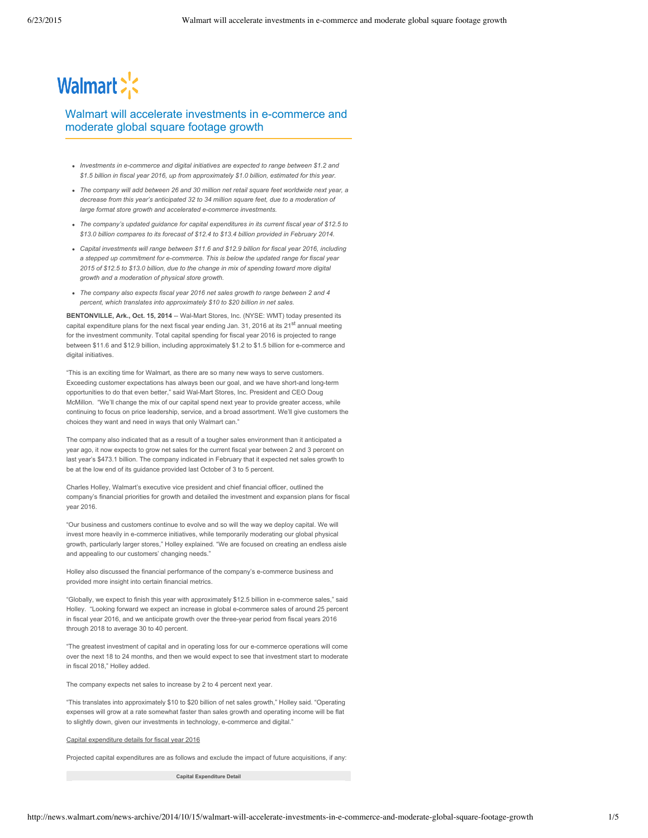# Walmart > <

# Walmart will accelerate investments in e-commerce and moderate global square footage growth

- *Investments in e-commerce and digital initiatives are expected to range between \$1.2 and \$1.5 billion in fiscal year 2016, up from approximately \$1.0 billion, estimated for this year.*
- *The company will add between 26 and 30 million net retail square feet worldwide next year, a decrease from this year's anticipated 32 to 34 million square feet, due to a moderation of large format store growth and accelerated e-commerce investments.*
- *The company's updated guidance for capital expenditures in its current fiscal year of \$12.5 to \$13.0 billion compares to its forecast of \$12.4 to \$13.4 billion provided in February 2014.*
- *Capital investments will range between \$11.6 and \$12.9 billion for fiscal year 2016, including a stepped up commitment for e-commerce. This is below the updated range for fiscal year 2015 of \$12.5 to \$13.0 billion, due to the change in mix of spending toward more digital growth and a moderation of physical store growth.*
- *The company also expects fiscal year 2016 net sales growth to range between 2 and 4 percent, which translates into approximately \$10 to \$20 billion in net sales.*

**BENTONVILLE, Ark., Oct. 15, 2014** -- Wal-Mart Stores, Inc. (NYSE: WMT) today presented its capital expenditure plans for the next fiscal year ending Jan. 31, 2016 at its 21<sup>st</sup> annual meeting for the investment community. Total capital spending for fiscal year 2016 is projected to range between \$11.6 and \$12.9 billion, including approximately \$1.2 to \$1.5 billion for e-commerce and digital initiatives.

"This is an exciting time for Walmart, as there are so many new ways to serve customers. Exceeding customer expectations has always been our goal, and we have short-and long-term opportunities to do that even better," said Wal-Mart Stores, Inc. President and CEO Doug McMillon. "We'll change the mix of our capital spend next year to provide greater access, while continuing to focus on price leadership, service, and a broad assortment. We'll give customers the choices they want and need in ways that only Walmart can."

The company also indicated that as a result of a tougher sales environment than it anticipated a year ago, it now expects to grow net sales for the current fiscal year between 2 and 3 percent on last year's \$473.1 billion. The company indicated in February that it expected net sales growth to be at the low end of its guidance provided last October of 3 to 5 percent.

Charles Holley, Walmart's executive vice president and chief financial officer, outlined the company's financial priorities for growth and detailed the investment and expansion plans for fiscal year 2016.

"Our business and customers continue to evolve and so will the way we deploy capital. We will invest more heavily in e-commerce initiatives, while temporarily moderating our global physical growth, particularly larger stores," Holley explained. "We are focused on creating an endless aisle and appealing to our customers' changing needs."

Holley also discussed the financial performance of the company's e-commerce business and provided more insight into certain financial metrics.

"Globally, we expect to finish this year with approximately \$12.5 billion in e-commerce sales," said Holley. "Looking forward we expect an increase in global e-commerce sales of around 25 percent in fiscal year 2016, and we anticipate growth over the three-year period from fiscal years 2016 through 2018 to average 30 to 40 percent.

"The greatest investment of capital and in operating loss for our e-commerce operations will come over the next 18 to 24 months, and then we would expect to see that investment start to moderate in fiscal 2018," Holley added.

The company expects net sales to increase by 2 to 4 percent next year.

"This translates into approximately \$10 to \$20 billion of net sales growth," Holley said. "Operating expenses will grow at a rate somewhat faster than sales growth and operating income will be flat to slightly down, given our investments in technology, e-commerce and digital."

#### Capital expenditure details for fiscal year 2016

Projected capital expenditures are as follows and exclude the impact of future acquisitions, if any:

**Capital Expenditure Detail**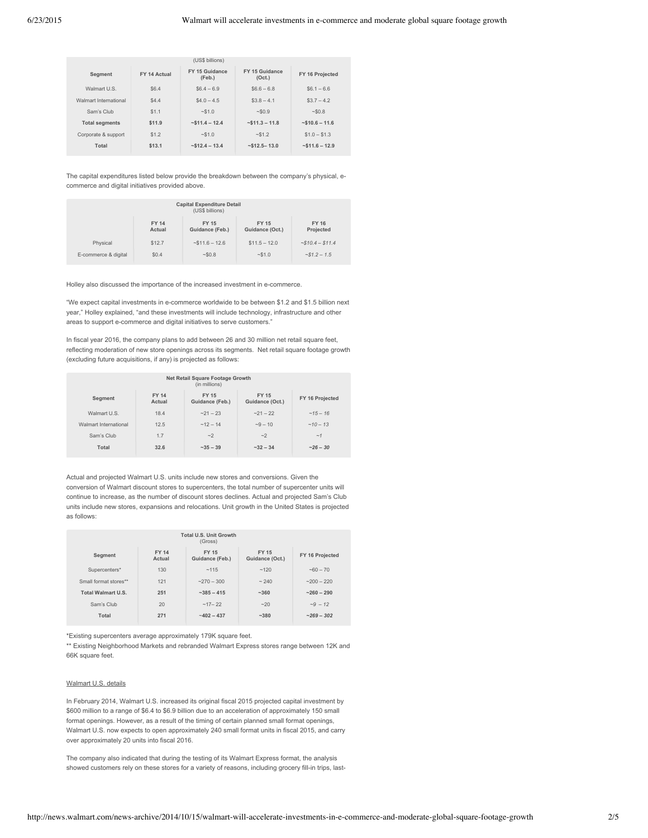| (US\$ billions)       |              |                          |                          |                 |
|-----------------------|--------------|--------------------------|--------------------------|-----------------|
| Segment               | FY 14 Actual | FY 15 Guidance<br>(Feb.) | FY 15 Guidance<br>(Oct.) | FY 16 Projected |
| Walmart U.S.          | \$6.4        | $$6.4 - 6.9$             | $$6.6 - 6.8$             | $$6.1 - 6.6$    |
| Walmart International | \$4.4        | $$4.0 - 4.5$             | $$3.8 - 4.1$             | $$3.7 - 4.2$    |
| Sam's Club            | \$1.1        | ~51.0                    | ~50.9                    | ~50.8           |
| <b>Total segments</b> | \$11.9       | $-$ \$11.4 - 12.4        | $-$ \$11.3 - 11.8        | $~510.6 - 11.6$ |
| Corporate & support   | \$1.2        | ~51.0                    | $-$ \$1.2                | $$1.0 - $1.3$   |
| Total                 | \$13.1       | $-$12.4 - 13.4$          | $~512.5 - 13.0$          | $~511.6 - 12.9$ |

The capital expenditures listed below provide the breakdown between the company's physical, ecommerce and digital initiatives provided above.

| <b>Capital Expenditure Detail</b><br>(US\$ billions) |                        |                                 |                                 |                           |
|------------------------------------------------------|------------------------|---------------------------------|---------------------------------|---------------------------|
|                                                      | <b>FY 14</b><br>Actual | <b>FY 15</b><br>Guidance (Feb.) | <b>FY 15</b><br>Guidance (Oct.) | <b>FY 16</b><br>Projected |
| Physical                                             | \$12.7                 | $~511.6 - 12.6$                 | $$11.5 - 12.0$                  | $~510.4 - $11.4$          |
| E-commerce & digital                                 | \$0.4                  | ~50.8                           | ~51.0                           | $\approx 51.2 - 1.5$      |

Holley also discussed the importance of the increased investment in e-commerce.

"We expect capital investments in e-commerce worldwide to be between \$1.2 and \$1.5 billion next year," Holley explained, "and these investments will include technology, infrastructure and other areas to support e-commerce and digital initiatives to serve customers."

In fiscal year 2016, the company plans to add between 26 and 30 million net retail square feet, reflecting moderation of new store openings across its segments. Net retail square footage growth (excluding future acquisitions, if any) is projected as follows:

| Net Retail Square Footage Growth<br>(in millions) |                        |                                 |                                 |                 |  |
|---------------------------------------------------|------------------------|---------------------------------|---------------------------------|-----------------|--|
| Segment                                           | <b>FY 14</b><br>Actual | <b>FY 15</b><br>Guidance (Feb.) | <b>FY 15</b><br>Guidance (Oct.) | FY 16 Projected |  |
| Walmart U.S.                                      | 18.4                   | $-21 - 23$                      | $-21 - 22$                      | $~15 - 16$      |  |
| Walmart International                             | 12.5                   | $~12 - 14$                      | $-9 - 10$                       | $~10 - 13$      |  |
| Sam's Club                                        | 1.7                    | ~2                              | ~2                              | ~1              |  |
| <b>Total</b>                                      | 32.6                   | $-35 - 39$                      | $-32 - 34$                      | $-26 - 30$      |  |

Actual and projected Walmart U.S. units include new stores and conversions. Given the conversion of Walmart discount stores to supercenters, the total number of supercenter units will continue to increase, as the number of discount stores declines. Actual and projected Sam's Club units include new stores, expansions and relocations. Unit growth in the United States is projected as follows:

| <b>Total U.S. Unit Growth</b><br>(Gross) |                        |                                 |                                 |                 |  |
|------------------------------------------|------------------------|---------------------------------|---------------------------------|-----------------|--|
| Segment                                  | <b>FY 14</b><br>Actual | <b>FY 15</b><br>Guidance (Feb.) | <b>FY 15</b><br>Guidance (Oct.) | FY 16 Projected |  |
| Supercenters*                            | 130                    | ~115                            | ~120                            | $-60 - 70$      |  |
| Small format stores**                    | 121                    | $-270 - 300$                    | ~240                            | $-200 - 220$    |  |
| <b>Total Walmart U.S.</b>                | 251                    | $-385 - 415$                    | ~1.360                          | $-260 - 290$    |  |
| Sam's Club                               | 20                     | $~17 - 22$                      | $-20$                           | $-9 - 12$       |  |
| Total                                    | 271                    | $-402 - 437$                    | $-380$                          | $~269 - 302$    |  |

\*Existing supercenters average approximately 179K square feet.

\*\* Existing Neighborhood Markets and rebranded Walmart Express stores range between 12K and 66K square feet.

# Walmart U.S. details

In February 2014, Walmart U.S. increased its original fiscal 2015 projected capital investment by \$600 million to a range of \$6.4 to \$6.9 billion due to an acceleration of approximately 150 small format openings. However, as a result of the timing of certain planned small format openings, Walmart U.S. now expects to open approximately 240 small format units in fiscal 2015, and carry over approximately 20 units into fiscal 2016.

The company also indicated that during the testing of its Walmart Express format, the analysis showed customers rely on these stores for a variety of reasons, including grocery fill-in trips, last-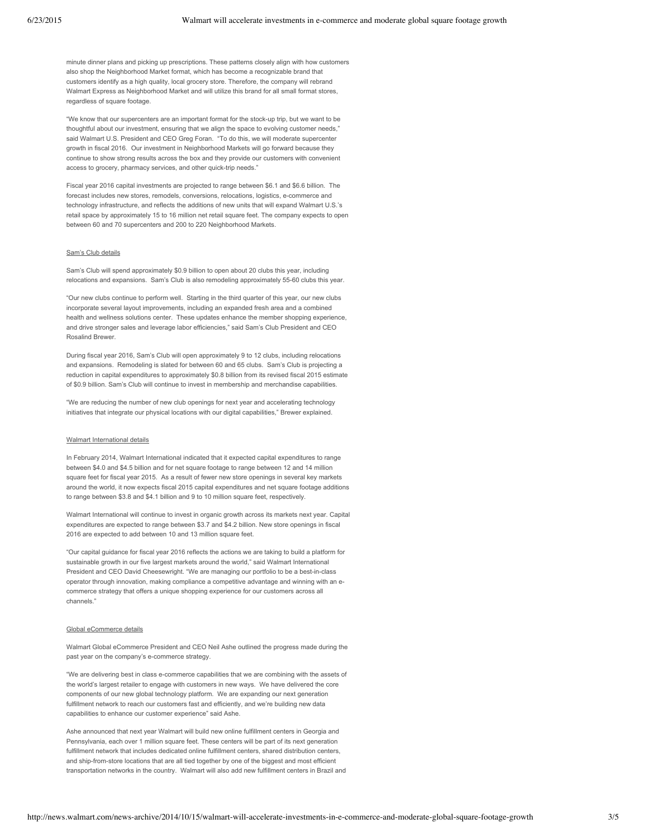minute dinner plans and picking up prescriptions. These patterns closely align with how customers also shop the Neighborhood Market format, which has become a recognizable brand that customers identify as a high quality, local grocery store. Therefore, the company will rebrand Walmart Express as Neighborhood Market and will utilize this brand for all small format stores, regardless of square footage.

"We know that our supercenters are an important format for the stock-up trip, but we want to be thoughtful about our investment, ensuring that we align the space to evolving customer needs,' said Walmart U.S. President and CEO Greg Foran. "To do this, we will moderate supercenter growth in fiscal 2016. Our investment in Neighborhood Markets will go forward because they continue to show strong results across the box and they provide our customers with convenient access to grocery, pharmacy services, and other quick-trip needs."

Fiscal year 2016 capital investments are projected to range between \$6.1 and \$6.6 billion. The forecast includes new stores, remodels, conversions, relocations, logistics, e-commerce and technology infrastructure, and reflects the additions of new units that will expand Walmart U.S.'s retail space by approximately 15 to 16 million net retail square feet. The company expects to open between 60 and 70 supercenters and 200 to 220 Neighborhood Markets.

#### Sam's Club details

Sam's Club will spend approximately \$0.9 billion to open about 20 clubs this year, including relocations and expansions. Sam's Club is also remodeling approximately 55-60 clubs this year.

"Our new clubs continue to perform well. Starting in the third quarter of this year, our new clubs incorporate several layout improvements, including an expanded fresh area and a combined health and wellness solutions center. These updates enhance the member shopping experience, and drive stronger sales and leverage labor efficiencies," said Sam's Club President and CEO Rosalind Brewer.

During fiscal year 2016, Sam's Club will open approximately 9 to 12 clubs, including relocations and expansions. Remodeling is slated for between 60 and 65 clubs. Sam's Club is projecting a reduction in capital expenditures to approximately \$0.8 billion from its revised fiscal 2015 estimate of \$0.9 billion. Sam's Club will continue to invest in membership and merchandise capabilities.

"We are reducing the number of new club openings for next year and accelerating technology initiatives that integrate our physical locations with our digital capabilities," Brewer explained.

#### Walmart International details

In February 2014, Walmart International indicated that it expected capital expenditures to range between \$4.0 and \$4.5 billion and for net square footage to range between 12 and 14 million square feet for fiscal year 2015. As a result of fewer new store openings in several key markets around the world, it now expects fiscal 2015 capital expenditures and net square footage additions to range between \$3.8 and \$4.1 billion and 9 to 10 million square feet, respectively.

Walmart International will continue to invest in organic growth across its markets next year. Capital expenditures are expected to range between \$3.7 and \$4.2 billion. New store openings in fiscal 2016 are expected to add between 10 and 13 million square feet.

"Our capital guidance for fiscal year 2016 reflects the actions we are taking to build a platform for sustainable growth in our five largest markets around the world," said Walmart International President and CEO David Cheesewright. "We are managing our portfolio to be a best-in-class operator through innovation, making compliance a competitive advantage and winning with an ecommerce strategy that offers a unique shopping experience for our customers across all channels.

### Global eCommerce details

Walmart Global eCommerce President and CEO Neil Ashe outlined the progress made during the past year on the company's e-commerce strategy.

"We are delivering best in class e-commerce capabilities that we are combining with the assets of the world's largest retailer to engage with customers in new ways. We have delivered the core components of our new global technology platform. We are expanding our next generation fulfillment network to reach our customers fast and efficiently, and we're building new data capabilities to enhance our customer experience" said Ashe.

Ashe announced that next year Walmart will build new online fulfillment centers in Georgia and Pennsylvania, each over 1 million square feet. These centers will be part of its next generation fulfillment network that includes dedicated online fulfillment centers, shared distribution centers, and ship-from-store locations that are all tied together by one of the biggest and most efficient transportation networks in the country. Walmart will also add new fulfillment centers in Brazil and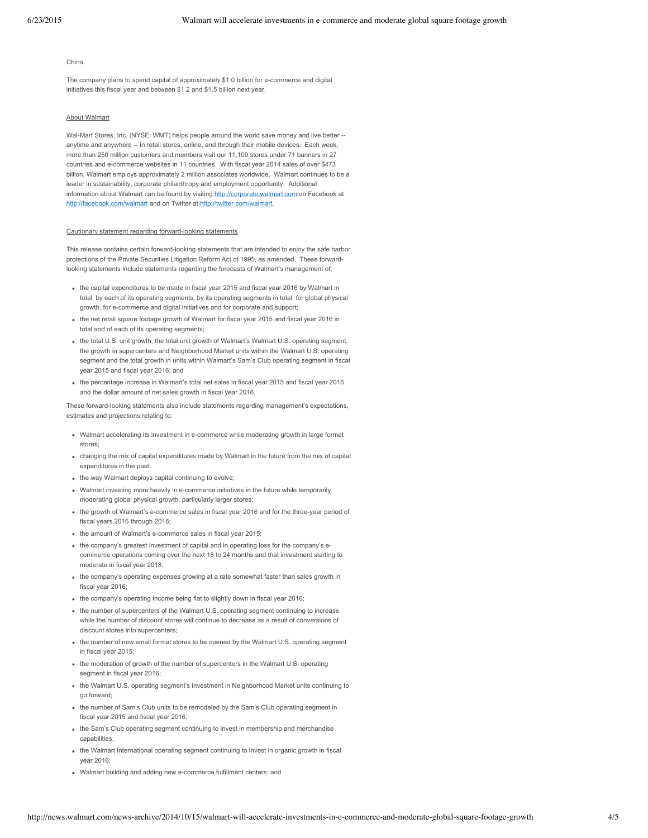#### China.

The company plans to spend capital of approximately \$1.0 billion for e-commerce and digital initiatives this fiscal year and between \$1.2 and \$1.5 billion next year.

# About Walmart

Wal-Mart Stores, Inc. (NYSE: WMT) helps people around the world save money and live better -anytime and anywhere -- in retail stores, online, and through their mobile devices. Each week, more than 250 million customers and members visit our 11,100 stores under 71 banners in 27 countries and e-commerce websites in 11 countries. With fiscal year 2014 sales of over \$473 billion, Walmart employs approximately 2 million associates worldwide. Walmart continues to be a leader in sustainability, corporate philanthropy and employment opportunity. Additional information about Walmart can be found by visiting http://corporate.walmart.com on Facebook at http://facebook.com/walmart and on Twitter at http://twitter.com/walmart.

# Cautionary statement regarding forward-looking statements

This release contains certain forward-looking statements that are intended to enjoy the safe harbor protections of the Private Securities Litigation Reform Act of 1995, as amended. These forwardlooking statements include statements regarding the forecasts of Walmart's management of:

- the capital expenditures to be made in fiscal year 2015 and fiscal year 2016 by Walmart in total, by each of its operating segments, by its operating segments in total, for global physical growth, for e-commerce and digital initiatives and for corporate and support;
- the net retail square footage growth of Walmart for fiscal year 2015 and fiscal year 2016 in total and of each of its operating segments;
- the total U.S. unit growth, the total unit growth of Walmart's Walmart U.S. operating segment, the growth in supercenters and Neighborhood Market units within the Walmart U.S. operating segment and the total growth in units within Walmart's Sam's Club operating segment in fiscal year 2015 and fiscal year 2016; and
- the percentage increase in Walmart's total net sales in fiscal year 2015 and fiscal year 2016 and the dollar amount of net sales growth in fiscal year 2016.

These forward-looking statements also include statements regarding management's expectations, estimates and projections relating to:

- Walmart accelerating its investment in e-commerce while moderating growth in large format stores;
- changing the mix of capital expenditures made by Walmart in the future from the mix of capital expenditures in the past;
- the way Walmart deploys capital continuing to evolve;
- Walmart investing more heavily in e-commerce initiatives in the future while temporarily moderating global physical growth, particularly larger stores;
- the growth of Walmart's e-commerce sales in fiscal year 2016 and for the three-year period of fiscal years 2016 through 2018;
- the amount of Walmart's e-commerce sales in fiscal year 2015;
- the company's greatest investment of capital and in operating loss for the company's ecommerce operations coming over the next 18 to 24 months and that investment starting to moderate in fiscal year 2018;
- the company's operating expenses growing at a rate somewhat faster than sales growth in fiscal year 2016;
- the company's operating income being flat to slightly down in fiscal year 2016;
- the number of supercenters of the Walmart U.S. operating segment continuing to increase while the number of discount stores will continue to decrease as a result of conversions of discount stores into supercenters;
- the number of new small format stores to be opened by the Walmart U.S. operating segment in fiscal year 2015;
- the moderation of growth of the number of supercenters in the Walmart U.S. operating segment in fiscal year 2016;
- the Walmart U.S. operating segment's investment in Neighborhood Market units continuing to go forward;
- the number of Sam's Club units to be remodeled by the Sam's Club operating segment in fiscal year 2015 and fiscal year 2016;
- the Sam's Club operating segment continuing to invest in membership and merchandise capabilities;
- the Walmart International operating segment continuing to invest in organic growth in fiscal year 2016;
- Walmart building and adding new e-commerce fulfillment centers; and